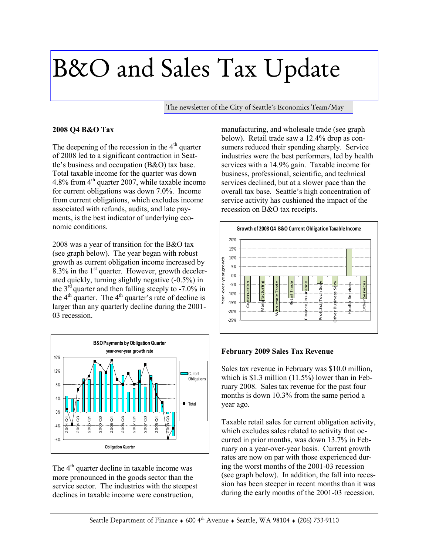## B&O and Sales Tax Update

The newsletter of the City of Seattle's Economics Team/May

## **2008 Q4 B&O Tax**

The deepening of the recession in the  $4<sup>th</sup>$  quarter of 2008 led to a significant contraction in Seattle's business and occupation (B&O) tax base. Total taxable income for the quarter was down 4.8% from 4<sup>th</sup> quarter 2007, while taxable income for current obligations was down 7.0%. Income from current obligations, which excludes income associated with refunds, audits, and late payments, is the best indicator of underlying economic conditions.

2008 was a year of transition for the B&O tax (see graph below). The year began with robust growth as current obligation income increased by 8.3% in the  $1<sup>st</sup>$  quarter. However, growth decelerated quickly, turning slightly negative (-0.5%) in the  $3<sup>rd</sup>$  quarter and then falling steeply to -7.0% in the  $4<sup>th</sup>$  quarter. The  $4<sup>th</sup>$  quarter's rate of decline is larger than any quarterly decline during the 2001- 03 recession.



The 4<sup>th</sup> quarter decline in taxable income was more pronounced in the goods sector than the service sector. The industries with the steepest declines in taxable income were construction,

manufacturing, and wholesale trade (see graph below). Retail trade saw a 12.4% drop as consumers reduced their spending sharply. Service industries were the best performers, led by health services with a 14.9% gain. Taxable income for business, professional, scientific, and technical services declined, but at a slower pace than the overall tax base. Seattle's high concentration of service activity has cushioned the impact of the recession on B&O tax receipts.



## **February 2009 Sales Tax Revenue**

Sales tax revenue in February was \$10.0 million, which is \$1.3 million (11.5%) lower than in February 2008. Sales tax revenue for the past four months is down 10.3% from the same period a year ago.

Taxable retail sales for current obligation activity, which excludes sales related to activity that occurred in prior months, was down 13.7% in February on a year-over-year basis. Current growth rates are now on par with those experienced during the worst months of the 2001-03 recession (see graph below). In addition, the fall into recession has been steeper in recent months than it was during the early months of the 2001-03 recession.